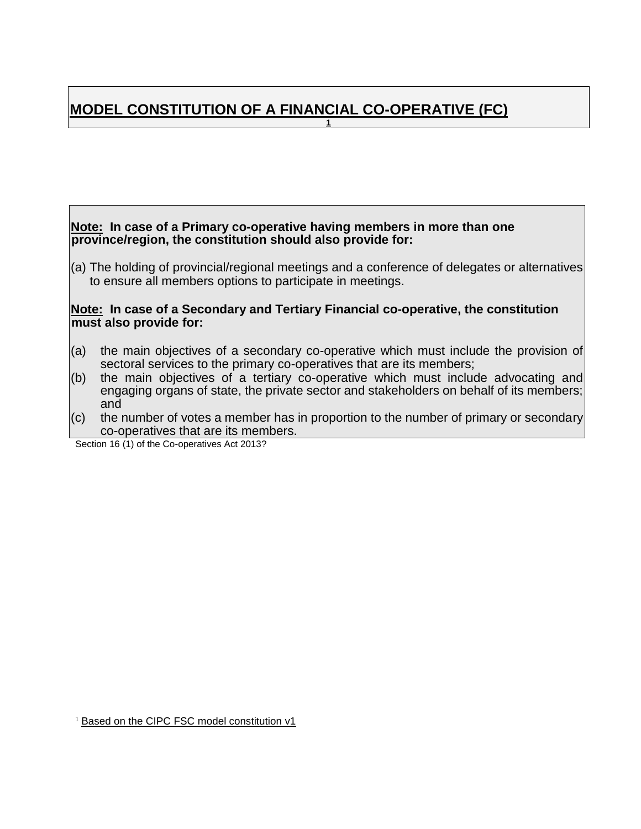#### <span id="page-0-0"></span>**MODEL CONSTITUTION OF A FINANCIAL CO-OPERATIVE (FC) 1**

**Note: In case of a Primary co-operative having members in more than one province/region, the constitution should also provide for:** 

(a) The holding of provincial/regional meetings and a conference of delegates or alternatives to ensure all members options to participate in meetings.

#### **Note: In case of a Secondary and Tertiary Financial co-operative, the constitution must also provide for:**

- (a) the main objectives of a secondary co-operative which must include the provision of sectoral services to the primary co-operatives that are its members;
- (b) the main objectives of a tertiary co-operative which must include advocating and engaging organs of state, the private sector and stakeholders on behalf of its members; and
- (c) the number of votes a member has in proportion to the number of primary or secondary co-operatives that are its members.

Section 16 (1) of the Co-operatives Act 2013?

<sup>1</sup> Based on the CIPC FSC model constitution v1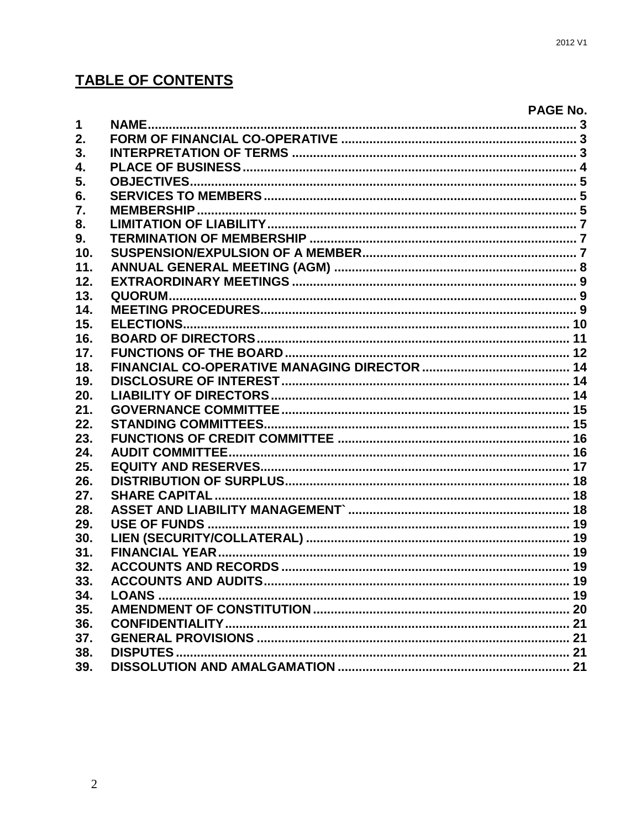# **TABLE OF CONTENTS**

|                  | <b>PAGE No.</b> |
|------------------|-----------------|
| $\mathbf 1$      |                 |
| 2.               |                 |
| 3.               |                 |
| $\overline{4}$ . |                 |
| 5.               |                 |
| 6.               |                 |
| $\overline{7}$ . |                 |
| 8.               |                 |
| 9.               |                 |
| 10.              |                 |
| 11.              |                 |
| 12.              |                 |
| 13.              |                 |
| 14.              |                 |
| 15.              |                 |
| 16.              |                 |
| 17.              |                 |
| 18.              |                 |
| 19.              |                 |
| 20.              |                 |
| 21.              |                 |
| 22.              |                 |
| 23.              |                 |
| 24.              |                 |
| 25.              |                 |
| 26.              |                 |
| 27.              |                 |
| 28.              |                 |
| 29.              |                 |
| 30.              |                 |
| 31.              |                 |
| 32.              |                 |
| 33.              |                 |
| 34.              |                 |
| 35.              |                 |
| 36.              |                 |
| 37.              |                 |
| 38.              |                 |
| 39.              |                 |
|                  |                 |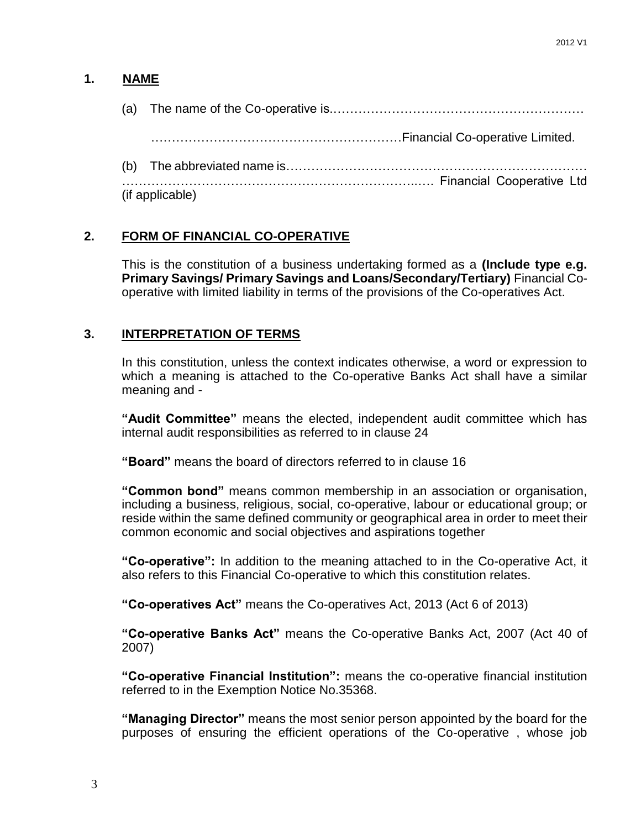### **1. NAME**

(a) The name of the Co-operative is.……………………………………………………

……………………………………………………Financial Co-operative Limited.

(b) The abbreviated name is………………………………………………………………

……………………………………………………………..…. Financial Cooperative Ltd (if applicable)

### <span id="page-2-0"></span>**2. FORM OF FINANCIAL CO-OPERATIVE**

This is the constitution of a business undertaking formed as a **(Include type e.g. Primary Savings/ Primary Savings and Loans/Secondary/Tertiary)** Financial Cooperative with limited liability in terms of the provisions of the Co-operatives Act.

### <span id="page-2-1"></span>**3. INTERPRETATION OF TERMS**

In this constitution, unless the context indicates otherwise, a word or expression to which a meaning is attached to the Co-operative Banks Act shall have a similar meaning and -

**"Audit Committee"** means the elected, independent audit committee which has internal audit responsibilities as referred to in clause 24

**"Board"** means the board of directors referred to in clause 16

**"Common bond"** means common membership in an association or organisation, including a business, religious, social, co-operative, labour or educational group; or reside within the same defined community or geographical area in order to meet their common economic and social objectives and aspirations together

**"Co-operative":** In addition to the meaning attached to in the Co-operative Act, it also refers to this Financial Co-operative to which this constitution relates.

**"Co-operatives Act"** means the Co-operatives Act, 2013 (Act 6 of 2013)

**"Co-operative Banks Act"** means the Co-operative Banks Act, 2007 (Act 40 of 2007)

**"Co-operative Financial Institution":** means the co-operative financial institution referred to in the Exemption Notice No.35368.

**"Managing Director"** means the most senior person appointed by the board for the purposes of ensuring the efficient operations of the Co-operative , whose job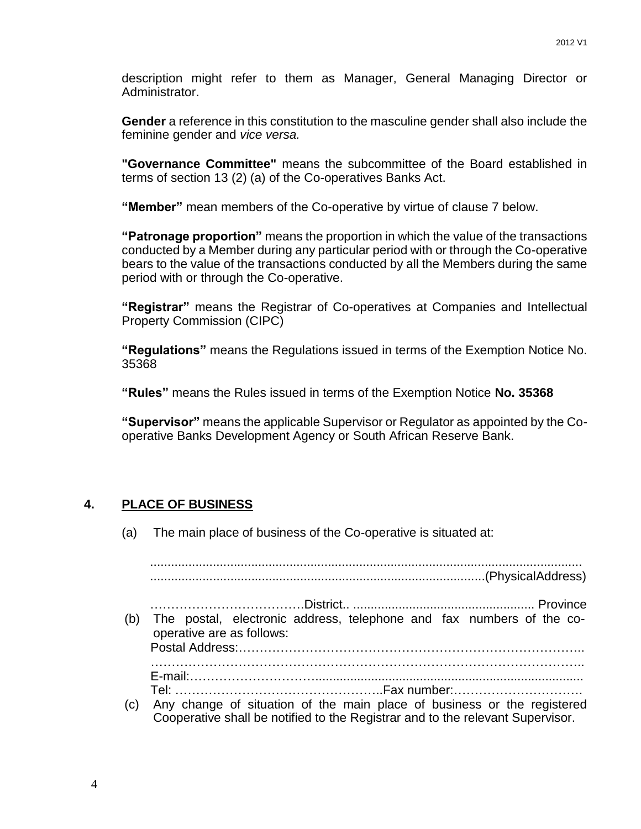description might refer to them as Manager, General Managing Director or Administrator.

**Gender** a reference in this constitution to the masculine gender shall also include the feminine gender and *vice versa.*

**"Governance Committee"** means the subcommittee of the Board established in terms of section 13 (2) (a) of the Co-operatives Banks Act.

**"Member"** mean members of the Co-operative by virtue of clause 7 below.

**"Patronage proportion"** means the proportion in which the value of the transactions conducted by a Member during any particular period with or through the Co-operative bears to the value of the transactions conducted by all the Members during the same period with or through the Co-operative.

**"Registrar"** means the Registrar of Co-operatives at Companies and Intellectual Property Commission (CIPC)

**"Regulations"** means the Regulations issued in terms of the Exemption Notice No. 35368

**"Rules"** means the Rules issued in terms of the Exemption Notice **No. 35368**

**"Supervisor"** means the applicable Supervisor or Regulator as appointed by the Cooperative Banks Development Agency or South African Reserve Bank.

#### <span id="page-3-0"></span>**4. PLACE OF BUSINESS**

(a) The main place of business of the Co-operative is situated at:

............................................................................................................................ ................................................................................................(PhysicalAddress) ……………………………….District.. .................................................... Province (b) The postal, electronic address, telephone and fax numbers of the cooperative are as follows: Postal Address:……………………………………………………………………….. ………………………………………………………………………………………….. E-mail:…………………………............................................................................. Tel: …………………………………………..Fax number:…………………………. (c) Any change of situation of the main place of business or the registered Cooperative shall be notified to the Registrar and to the relevant Supervisor.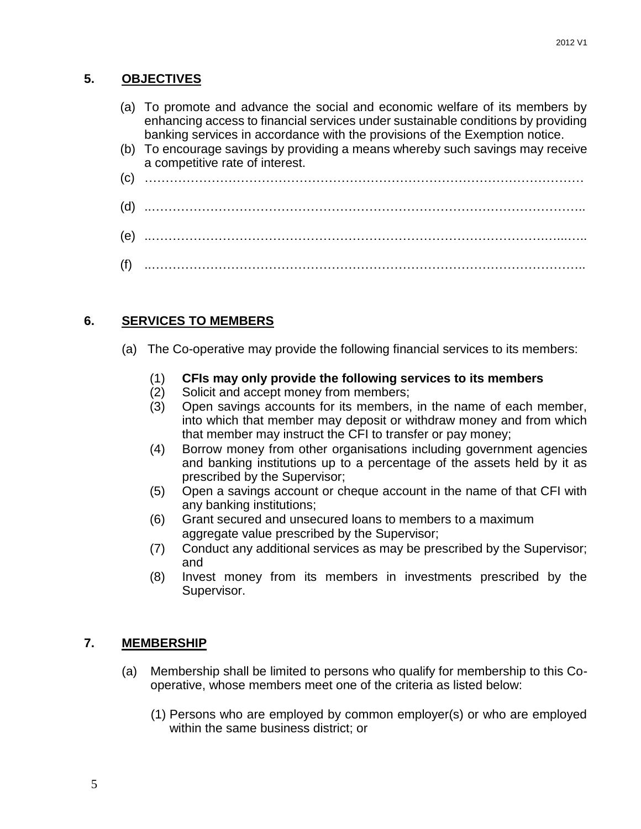### <span id="page-4-0"></span>**5. OBJECTIVES**

- (a) To promote and advance the social and economic welfare of its members by enhancing access to financial services under sustainable conditions by providing banking services in accordance with the provisions of the Exemption notice.
- (b) To encourage savings by providing a means whereby such savings may receive a competitive rate of interest.
- (c) ……………………………………………………………………………………………
- (d) ..…………………………………………………………………………………………..
- (e) ..………………………………………………………………………………….…...…..
- (f) ..…………………………………………………………………………………………..

### <span id="page-4-1"></span>**6. SERVICES TO MEMBERS**

- (a) The Co-operative may provide the following financial services to its members:
	- (1) **CFIs may only provide the following services to its members**
	- (2) Solicit and accept money from members;
	- (3) Open savings accounts for its members, in the name of each member, into which that member may deposit or withdraw money and from which that member may instruct the CFI to transfer or pay money;
	- (4) Borrow money from other organisations including government agencies and banking institutions up to a percentage of the assets held by it as prescribed by the Supervisor;
	- (5) Open a savings account or cheque account in the name of that CFI with any banking institutions;
	- (6) Grant secured and unsecured loans to members to a maximum aggregate value prescribed by the Supervisor;
	- (7) Conduct any additional services as may be prescribed by the Supervisor; and
	- (8) Invest money from its members in investments prescribed by the Supervisor.

#### <span id="page-4-2"></span>**7. MEMBERSHIP**

- (a) Membership shall be limited to persons who qualify for membership to this Cooperative, whose members meet one of the criteria as listed below:
	- (1) Persons who are employed by common employer(s) or who are employed within the same business district; or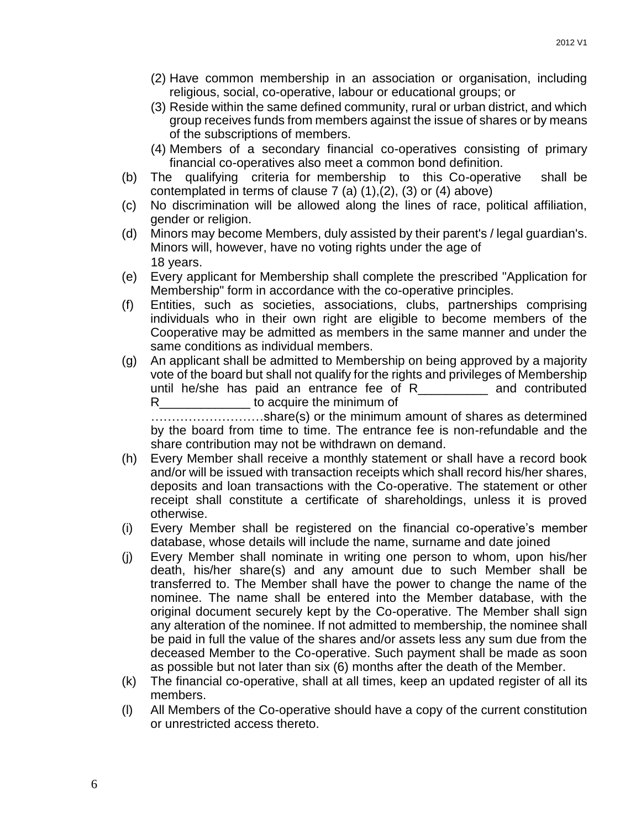- (2) Have common membership in an association or organisation, including religious, social, co-operative, labour or educational groups; or
- (3) Reside within the same defined community, rural or urban district, and which group receives funds from members against the issue of shares or by means of the subscriptions of members.
- (4) Members of a secondary financial co-operatives consisting of primary financial co-operatives also meet a common bond definition.
- (b) The qualifying criteria for membership to this Co-operative shall be contemplated in terms of clause  $7$  (a)  $(1),(2)$ ,  $(3)$  or  $(4)$  above)
- (c) No discrimination will be allowed along the lines of race, political affiliation, gender or religion.
- (d) Minors may become Members, duly assisted by their parent's / legal guardian's. Minors will, however, have no voting rights under the age of 18 years.
- (e) Every applicant for Membership shall complete the prescribed "Application for Membership" form in accordance with the co-operative principles.
- (f) Entities, such as societies, associations, clubs, partnerships comprising individuals who in their own right are eligible to become members of the Cooperative may be admitted as members in the same manner and under the same conditions as individual members.
- (g) An applicant shall be admitted to Membership on being approved by a majority vote of the board but shall not qualify for the rights and privileges of Membership until he/she has paid an entrance fee of R\_\_\_\_\_\_\_\_\_\_ and contributed R\_\_\_\_\_\_\_\_\_\_\_\_\_\_\_\_\_ to acquire the minimum of

………………………share(s) or the minimum amount of shares as determined by the board from time to time. The entrance fee is non-refundable and the share contribution may not be withdrawn on demand.

- (h) Every Member shall receive a monthly statement or shall have a record book and/or will be issued with transaction receipts which shall record his/her shares, deposits and loan transactions with the Co-operative. The statement or other receipt shall constitute a certificate of shareholdings, unless it is proved otherwise.
- (i) Every Member shall be registered on the financial co-operative's member database, whose details will include the name, surname and date joined
- (j) Every Member shall nominate in writing one person to whom, upon his/her death, his/her share(s) and any amount due to such Member shall be transferred to. The Member shall have the power to change the name of the nominee. The name shall be entered into the Member database, with the original document securely kept by the Co-operative. The Member shall sign any alteration of the nominee. If not admitted to membership, the nominee shall be paid in full the value of the shares and/or assets less any sum due from the deceased Member to the Co-operative. Such payment shall be made as soon as possible but not later than six (6) months after the death of the Member.
- (k) The financial co-operative, shall at all times, keep an updated register of all its members.
- (l) All Members of the Co-operative should have a copy of the current constitution or unrestricted access thereto.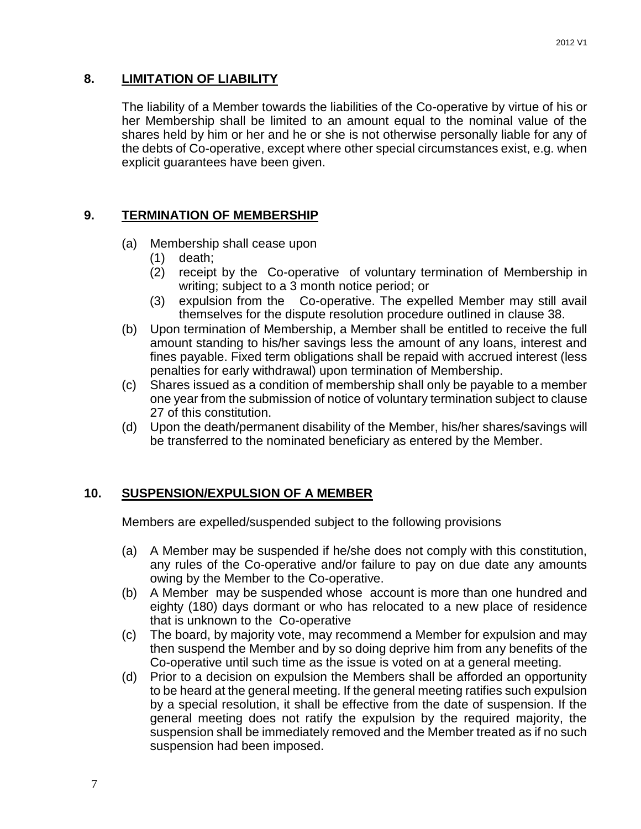#### <span id="page-6-0"></span>**8. LIMITATION OF LIABILITY**

The liability of a Member towards the liabilities of the Co-operative by virtue of his or her Membership shall be limited to an amount equal to the nominal value of the shares held by him or her and he or she is not otherwise personally liable for any of the debts of Co-operative, except where other special circumstances exist, e.g. when explicit guarantees have been given.

### <span id="page-6-1"></span>**9. TERMINATION OF MEMBERSHIP**

- (a) Membership shall cease upon
	- (1) death;
	- (2) receipt by the Co-operative of voluntary termination of Membership in writing; subject to a 3 month notice period; or
	- (3) expulsion from the Co-operative. The expelled Member may still avail themselves for the dispute resolution procedure outlined in clause 38.
- (b) Upon termination of Membership, a Member shall be entitled to receive the full amount standing to his/her savings less the amount of any loans, interest and fines payable. Fixed term obligations shall be repaid with accrued interest (less penalties for early withdrawal) upon termination of Membership.
- (c) Shares issued as a condition of membership shall only be payable to a member one year from the submission of notice of voluntary termination subject to clause 27 of this constitution.
- (d) Upon the death/permanent disability of the Member, his/her shares/savings will be transferred to the nominated beneficiary as entered by the Member.

#### <span id="page-6-2"></span>**10. SUSPENSION/EXPULSION OF A MEMBER**

Members are expelled/suspended subject to the following provisions

- (a) A Member may be suspended if he/she does not comply with this constitution, any rules of the Co-operative and/or failure to pay on due date any amounts owing by the Member to the Co-operative.
- (b) A Member may be suspended whose account is more than one hundred and eighty (180) days dormant or who has relocated to a new place of residence that is unknown to the Co-operative
- (c) The board, by majority vote, may recommend a Member for expulsion and may then suspend the Member and by so doing deprive him from any benefits of the Co-operative until such time as the issue is voted on at a general meeting.
- (d) Prior to a decision on expulsion the Members shall be afforded an opportunity to be heard at the general meeting. If the general meeting ratifies such expulsion by a special resolution, it shall be effective from the date of suspension. If the general meeting does not ratify the expulsion by the required majority, the suspension shall be immediately removed and the Member treated as if no such suspension had been imposed.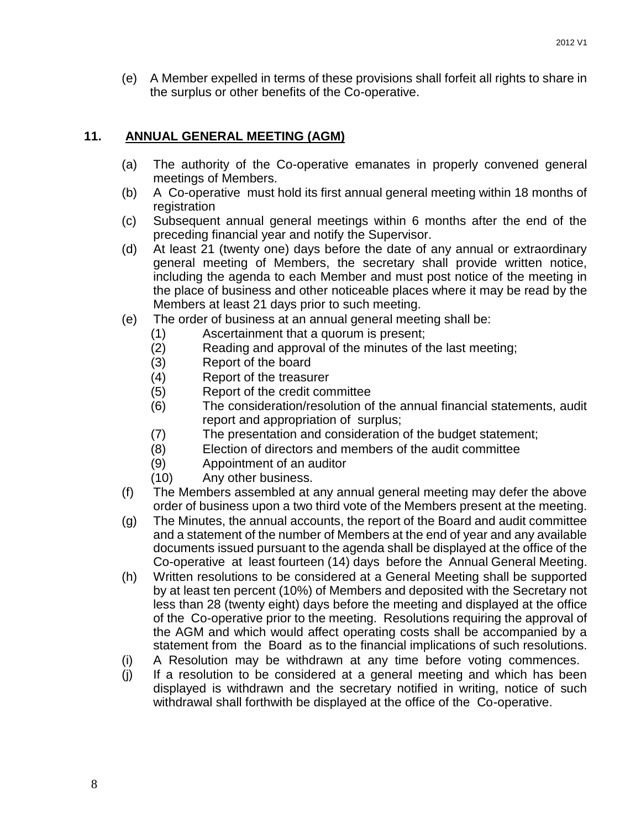(e) A Member expelled in terms of these provisions shall forfeit all rights to share in the surplus or other benefits of the Co-operative.

### <span id="page-7-0"></span>**11. ANNUAL GENERAL MEETING (AGM)**

- (a) The authority of the Co-operative emanates in properly convened general meetings of Members.
- (b) A Co-operative must hold its first annual general meeting within 18 months of registration
- (c) Subsequent annual general meetings within 6 months after the end of the preceding financial year and notify the Supervisor.
- (d) At least 21 (twenty one) days before the date of any annual or extraordinary general meeting of Members, the secretary shall provide written notice, including the agenda to each Member and must post notice of the meeting in the place of business and other noticeable places where it may be read by the Members at least 21 days prior to such meeting.
- (e) The order of business at an annual general meeting shall be:
	- (1) Ascertainment that a quorum is present;
	- (2) Reading and approval of the minutes of the last meeting;
	- (3) Report of the board
	- (4) Report of the treasurer
	- (5) Report of the credit committee
	- (6) The consideration/resolution of the annual financial statements, audit report and appropriation of surplus;
	- (7) The presentation and consideration of the budget statement;
	- (8) Election of directors and members of the audit committee
	- (9) Appointment of an auditor
	- (10) Any other business.
- (f) The Members assembled at any annual general meeting may defer the above order of business upon a two third vote of the Members present at the meeting.
- (g) The Minutes, the annual accounts, the report of the Board and audit committee and a statement of the number of Members at the end of year and any available documents issued pursuant to the agenda shall be displayed at the office of the Co-operative at least fourteen (14) days before the Annual General Meeting.
- (h) Written resolutions to be considered at a General Meeting shall be supported by at least ten percent (10%) of Members and deposited with the Secretary not less than 28 (twenty eight) days before the meeting and displayed at the office of the Co-operative prior to the meeting. Resolutions requiring the approval of the AGM and which would affect operating costs shall be accompanied by a statement from the Board as to the financial implications of such resolutions.
- (i) A Resolution may be withdrawn at any time before voting commences.
- (j) If a resolution to be considered at a general meeting and which has been displayed is withdrawn and the secretary notified in writing, notice of such withdrawal shall forthwith be displayed at the office of the Co-operative.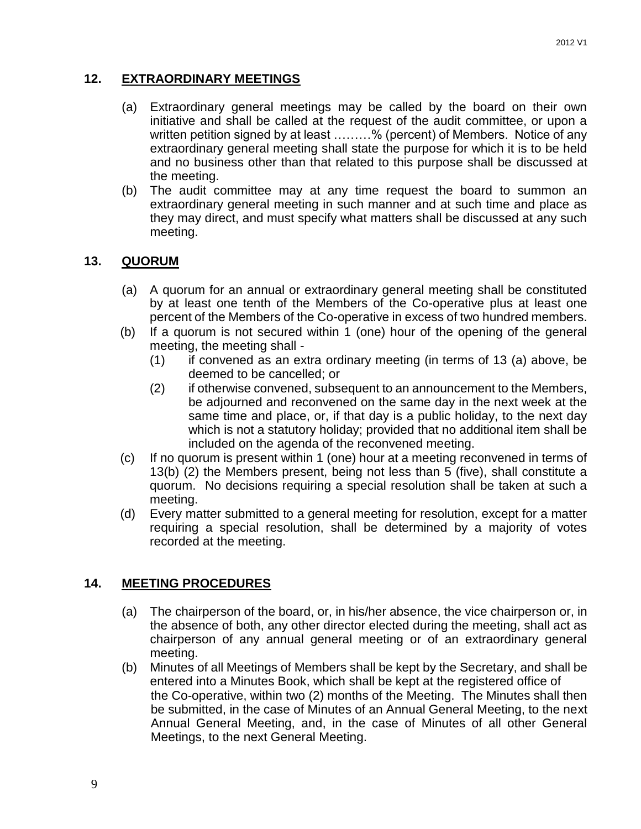### <span id="page-8-0"></span>**12. EXTRAORDINARY MEETINGS**

- (a) Extraordinary general meetings may be called by the board on their own initiative and shall be called at the request of the audit committee, or upon a written petition signed by at least ………% (percent) of Members. Notice of any extraordinary general meeting shall state the purpose for which it is to be held and no business other than that related to this purpose shall be discussed at the meeting.
- (b) The audit committee may at any time request the board to summon an extraordinary general meeting in such manner and at such time and place as they may direct, and must specify what matters shall be discussed at any such meeting.

#### <span id="page-8-1"></span>**13. QUORUM**

- (a) A quorum for an annual or extraordinary general meeting shall be constituted by at least one tenth of the Members of the Co-operative plus at least one percent of the Members of the Co-operative in excess of two hundred members.
- (b) If a quorum is not secured within 1 (one) hour of the opening of the general meeting, the meeting shall -
	- (1) if convened as an extra ordinary meeting (in terms of 13 (a) above, be deemed to be cancelled; or
	- (2) if otherwise convened, subsequent to an announcement to the Members, be adjourned and reconvened on the same day in the next week at the same time and place, or, if that day is a public holiday, to the next day which is not a statutory holiday; provided that no additional item shall be included on the agenda of the reconvened meeting.
- (c) If no quorum is present within 1 (one) hour at a meeting reconvened in terms of 13(b) (2) the Members present, being not less than 5 (five), shall constitute a quorum. No decisions requiring a special resolution shall be taken at such a meeting.
- (d) Every matter submitted to a general meeting for resolution, except for a matter requiring a special resolution, shall be determined by a majority of votes recorded at the meeting.

#### <span id="page-8-2"></span>**14. MEETING PROCEDURES**

- (a) The chairperson of the board, or, in his/her absence, the vice chairperson or, in the absence of both, any other director elected during the meeting, shall act as chairperson of any annual general meeting or of an extraordinary general meeting.
- (b) Minutes of all Meetings of Members shall be kept by the Secretary, and shall be entered into a Minutes Book, which shall be kept at the registered office of the Co-operative, within two (2) months of the Meeting. The Minutes shall then be submitted, in the case of Minutes of an Annual General Meeting, to the next Annual General Meeting, and, in the case of Minutes of all other General Meetings, to the next General Meeting.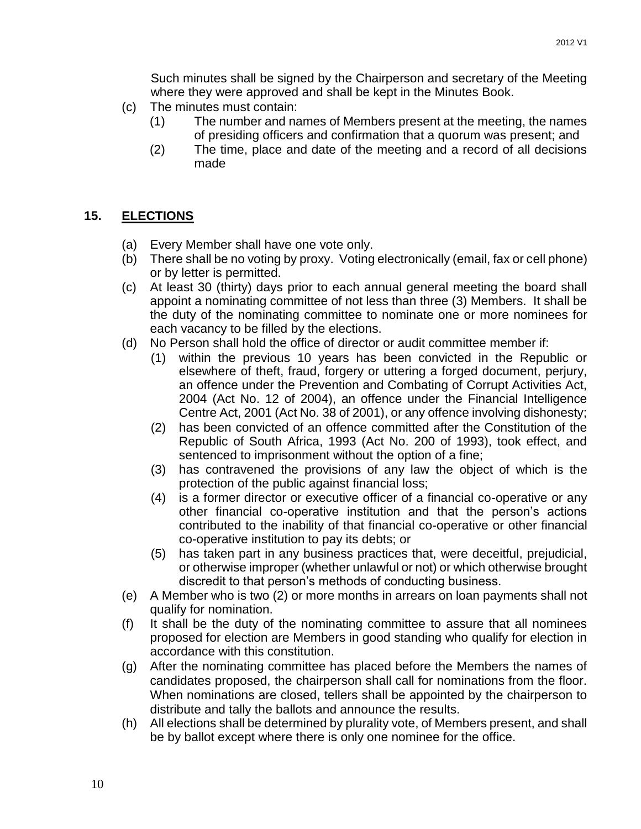Such minutes shall be signed by the Chairperson and secretary of the Meeting where they were approved and shall be kept in the Minutes Book.

- (c) The minutes must contain:
	- (1) The number and names of Members present at the meeting, the names of presiding officers and confirmation that a quorum was present; and
	- (2) The time, place and date of the meeting and a record of all decisions made

### <span id="page-9-0"></span>**15. ELECTIONS**

- (a) Every Member shall have one vote only.
- (b) There shall be no voting by proxy. Voting electronically (email, fax or cell phone) or by letter is permitted.
- (c) At least 30 (thirty) days prior to each annual general meeting the board shall appoint a nominating committee of not less than three (3) Members. It shall be the duty of the nominating committee to nominate one or more nominees for each vacancy to be filled by the elections.
- (d) No Person shall hold the office of director or audit committee member if:
	- (1) within the previous 10 years has been convicted in the Republic or elsewhere of theft, fraud, forgery or uttering a forged document, perjury, an offence under the Prevention and Combating of Corrupt Activities Act, 2004 (Act No. 12 of 2004), an offence under the Financial Intelligence Centre Act, 2001 (Act No. 38 of 2001), or any offence involving dishonesty;
	- (2) has been convicted of an offence committed after the Constitution of the Republic of South Africa, 1993 (Act No. 200 of 1993), took effect, and sentenced to imprisonment without the option of a fine;
	- (3) has contravened the provisions of any law the object of which is the protection of the public against financial loss;
	- (4) is a former director or executive officer of a financial co-operative or any other financial co-operative institution and that the person's actions contributed to the inability of that financial co-operative or other financial co-operative institution to pay its debts; or
	- (5) has taken part in any business practices that, were deceitful, prejudicial, or otherwise improper (whether unlawful or not) or which otherwise brought discredit to that person's methods of conducting business.
- (e) A Member who is two (2) or more months in arrears on loan payments shall not qualify for nomination.
- (f) It shall be the duty of the nominating committee to assure that all nominees proposed for election are Members in good standing who qualify for election in accordance with this constitution.
- (g) After the nominating committee has placed before the Members the names of candidates proposed, the chairperson shall call for nominations from the floor. When nominations are closed, tellers shall be appointed by the chairperson to distribute and tally the ballots and announce the results.
- (h) All elections shall be determined by plurality vote, of Members present, and shall be by ballot except where there is only one nominee for the office.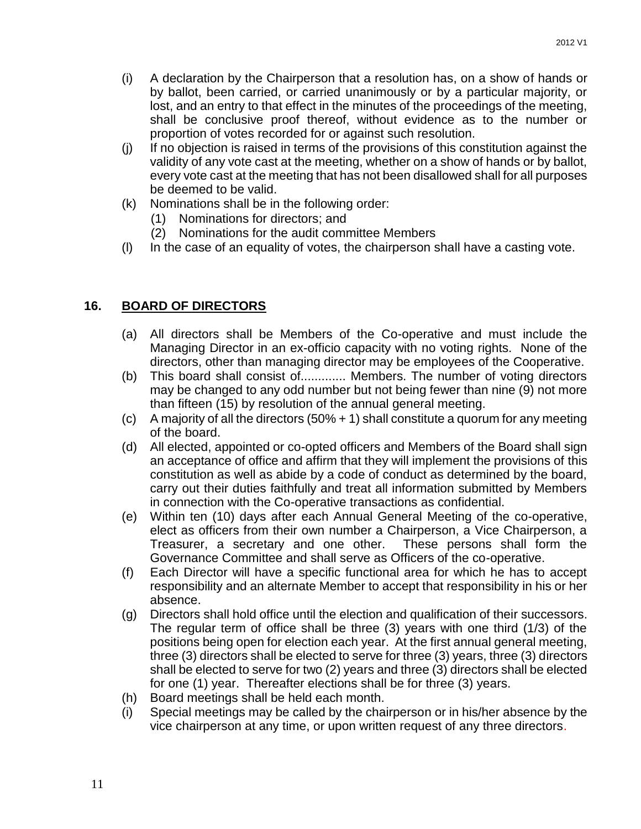- (i) A declaration by the Chairperson that a resolution has, on a show of hands or by ballot, been carried, or carried unanimously or by a particular majority, or lost, and an entry to that effect in the minutes of the proceedings of the meeting, shall be conclusive proof thereof, without evidence as to the number or proportion of votes recorded for or against such resolution.
- (j) If no objection is raised in terms of the provisions of this constitution against the validity of any vote cast at the meeting, whether on a show of hands or by ballot, every vote cast at the meeting that has not been disallowed shall for all purposes be deemed to be valid.
- (k) Nominations shall be in the following order:
	- (1) Nominations for directors; and
	- (2) Nominations for the audit committee Members
- (l) In the case of an equality of votes, the chairperson shall have a casting vote.

### <span id="page-10-0"></span>**16. BOARD OF DIRECTORS**

- (a) All directors shall be Members of the Co-operative and must include the Managing Director in an ex-officio capacity with no voting rights. None of the directors, other than managing director may be employees of the Cooperative.
- (b) This board shall consist of............. Members. The number of voting directors may be changed to any odd number but not being fewer than nine (9) not more than fifteen (15) by resolution of the annual general meeting.
- (c) A majority of all the directors (50% + 1) shall constitute a quorum for any meeting of the board.
- (d) All elected, appointed or co-opted officers and Members of the Board shall sign an acceptance of office and affirm that they will implement the provisions of this constitution as well as abide by a code of conduct as determined by the board, carry out their duties faithfully and treat all information submitted by Members in connection with the Co-operative transactions as confidential.
- (e) Within ten (10) days after each Annual General Meeting of the co-operative, elect as officers from their own number a Chairperson, a Vice Chairperson, a Treasurer, a secretary and one other. These persons shall form the Governance Committee and shall serve as Officers of the co-operative.
- (f) Each Director will have a specific functional area for which he has to accept responsibility and an alternate Member to accept that responsibility in his or her absence.
- (g) Directors shall hold office until the election and qualification of their successors. The regular term of office shall be three (3) years with one third (1/3) of the positions being open for election each year. At the first annual general meeting, three (3) directors shall be elected to serve for three (3) years, three (3) directors shall be elected to serve for two (2) years and three (3) directors shall be elected for one (1) year. Thereafter elections shall be for three (3) years.
- (h) Board meetings shall be held each month.
- (i) Special meetings may be called by the chairperson or in his/her absence by the vice chairperson at any time, or upon written request of any three directors.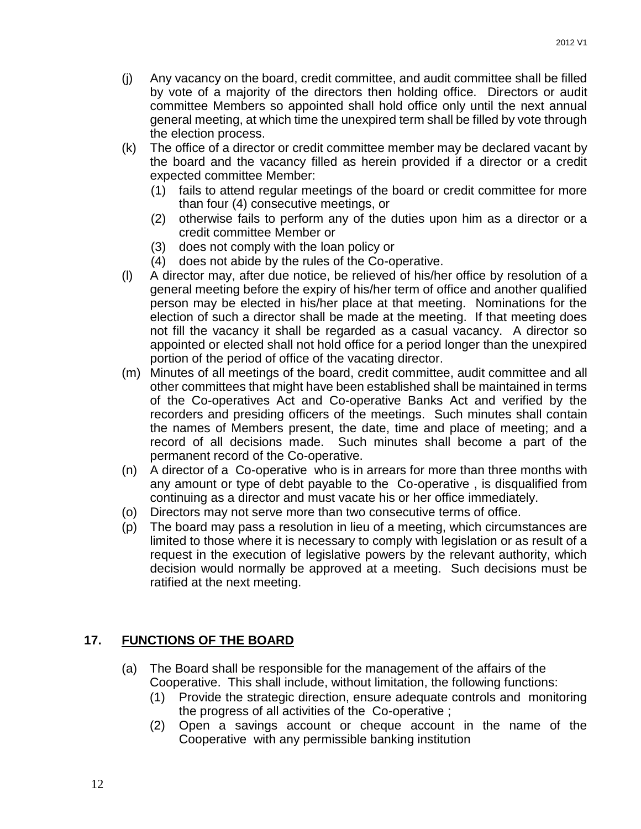- (j) Any vacancy on the board, credit committee, and audit committee shall be filled by vote of a majority of the directors then holding office. Directors or audit committee Members so appointed shall hold office only until the next annual general meeting, at which time the unexpired term shall be filled by vote through the election process.
- (k) The office of a director or credit committee member may be declared vacant by the board and the vacancy filled as herein provided if a director or a credit expected committee Member:
	- (1) fails to attend regular meetings of the board or credit committee for more than four (4) consecutive meetings, or
	- (2) otherwise fails to perform any of the duties upon him as a director or a credit committee Member or
	- (3) does not comply with the loan policy or
	- (4) does not abide by the rules of the Co-operative.
- (l) A director may, after due notice, be relieved of his/her office by resolution of a general meeting before the expiry of his/her term of office and another qualified person may be elected in his/her place at that meeting. Nominations for the election of such a director shall be made at the meeting. If that meeting does not fill the vacancy it shall be regarded as a casual vacancy. A director so appointed or elected shall not hold office for a period longer than the unexpired portion of the period of office of the vacating director.
- (m) Minutes of all meetings of the board, credit committee, audit committee and all other committees that might have been established shall be maintained in terms of the Co-operatives Act and Co-operative Banks Act and verified by the recorders and presiding officers of the meetings. Such minutes shall contain the names of Members present, the date, time and place of meeting; and a record of all decisions made. Such minutes shall become a part of the permanent record of the Co-operative.
- (n) A director of a Co-operative who is in arrears for more than three months with any amount or type of debt payable to the Co-operative , is disqualified from continuing as a director and must vacate his or her office immediately.
- (o) Directors may not serve more than two consecutive terms of office.
- (p) The board may pass a resolution in lieu of a meeting, which circumstances are limited to those where it is necessary to comply with legislation or as result of a request in the execution of legislative powers by the relevant authority, which decision would normally be approved at a meeting. Such decisions must be ratified at the next meeting.

### <span id="page-11-0"></span>**17. FUNCTIONS OF THE BOARD**

- (a) The Board shall be responsible for the management of the affairs of the Cooperative. This shall include, without limitation, the following functions:
	- (1) Provide the strategic direction, ensure adequate controls and monitoring the progress of all activities of the Co-operative ;
	- (2) Open a savings account or cheque account in the name of the Cooperative with any permissible banking institution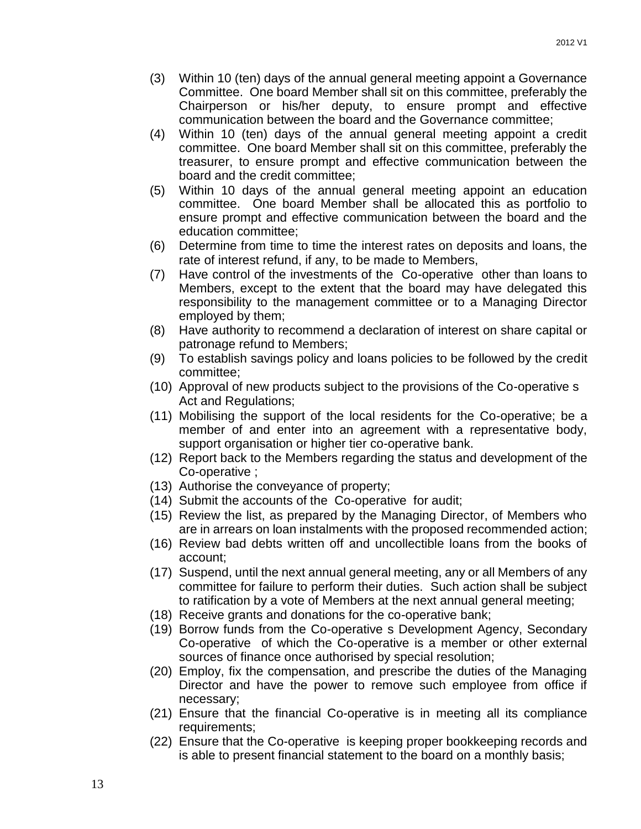- (3) Within 10 (ten) days of the annual general meeting appoint a Governance Committee. One board Member shall sit on this committee, preferably the Chairperson or his/her deputy, to ensure prompt and effective communication between the board and the Governance committee;
- (4) Within 10 (ten) days of the annual general meeting appoint a credit committee. One board Member shall sit on this committee, preferably the treasurer, to ensure prompt and effective communication between the board and the credit committee;
- (5) Within 10 days of the annual general meeting appoint an education committee. One board Member shall be allocated this as portfolio to ensure prompt and effective communication between the board and the education committee;
- (6) Determine from time to time the interest rates on deposits and loans, the rate of interest refund, if any, to be made to Members,
- (7) Have control of the investments of the Co-operative other than loans to Members, except to the extent that the board may have delegated this responsibility to the management committee or to a Managing Director employed by them;
- (8) Have authority to recommend a declaration of interest on share capital or patronage refund to Members;
- (9) To establish savings policy and loans policies to be followed by the credit committee;
- (10) Approval of new products subject to the provisions of the Co-operative s Act and Regulations;
- (11) Mobilising the support of the local residents for the Co-operative; be a member of and enter into an agreement with a representative body, support organisation or higher tier co-operative bank.
- (12) Report back to the Members regarding the status and development of the Co-operative ;
- (13) Authorise the conveyance of property;
- (14) Submit the accounts of the Co-operative for audit;
- (15) Review the list, as prepared by the Managing Director, of Members who are in arrears on loan instalments with the proposed recommended action;
- (16) Review bad debts written off and uncollectible loans from the books of account;
- (17) Suspend, until the next annual general meeting, any or all Members of any committee for failure to perform their duties. Such action shall be subject to ratification by a vote of Members at the next annual general meeting;
- (18) Receive grants and donations for the co-operative bank;
- (19) Borrow funds from the Co-operative s Development Agency, Secondary Co-operative of which the Co-operative is a member or other external sources of finance once authorised by special resolution;
- (20) Employ, fix the compensation, and prescribe the duties of the Managing Director and have the power to remove such employee from office if necessary;
- (21) Ensure that the financial Co-operative is in meeting all its compliance requirements;
- (22) Ensure that the Co-operative is keeping proper bookkeeping records and is able to present financial statement to the board on a monthly basis;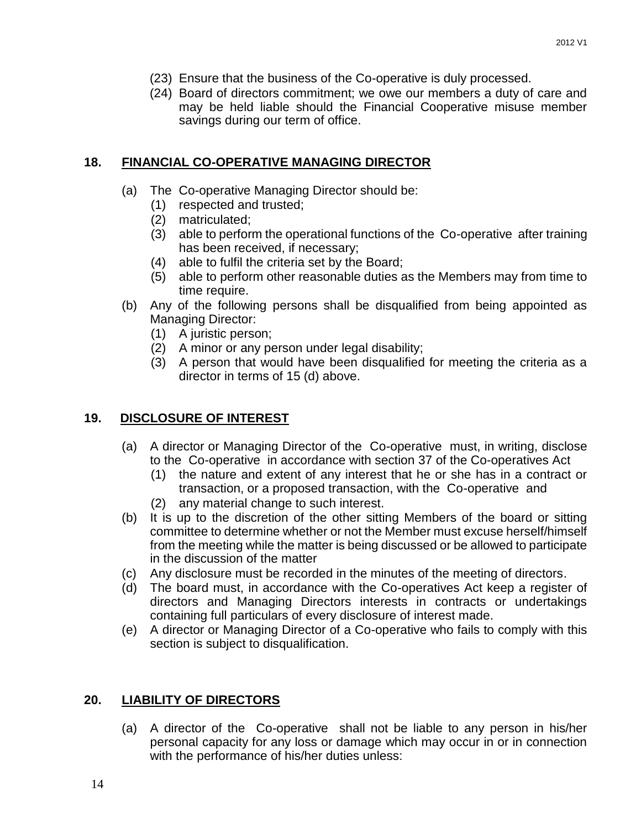- (23) Ensure that the business of the Co-operative is duly processed.
- (24) Board of directors commitment; we owe our members a duty of care and may be held liable should the Financial Cooperative misuse member savings during our term of office.

### <span id="page-13-0"></span>**18. FINANCIAL CO-OPERATIVE MANAGING DIRECTOR**

- (a) The Co-operative Managing Director should be:
	- (1) respected and trusted;
	- (2) matriculated;
	- (3) able to perform the operational functions of the Co-operative after training has been received, if necessary;
	- (4) able to fulfil the criteria set by the Board;
	- (5) able to perform other reasonable duties as the Members may from time to time require.
- (b) Any of the following persons shall be disqualified from being appointed as Managing Director:
	- (1) A juristic person;
	- (2) A minor or any person under legal disability;
	- (3) A person that would have been disqualified for meeting the criteria as a director in terms of 15 (d) above.

### <span id="page-13-1"></span>**19. DISCLOSURE OF INTEREST**

- (a) A director or Managing Director of the Co-operative must, in writing, disclose to the Co-operative in accordance with section 37 of the Co-operatives Act
	- (1) the nature and extent of any interest that he or she has in a contract or transaction, or a proposed transaction, with the Co-operative and
	- (2) any material change to such interest.
- (b) It is up to the discretion of the other sitting Members of the board or sitting committee to determine whether or not the Member must excuse herself/himself from the meeting while the matter is being discussed or be allowed to participate in the discussion of the matter
- (c) Any disclosure must be recorded in the minutes of the meeting of directors.
- (d) The board must, in accordance with the Co-operatives Act keep a register of directors and Managing Directors interests in contracts or undertakings containing full particulars of every disclosure of interest made.
- (e) A director or Managing Director of a Co-operative who fails to comply with this section is subject to disqualification.

### <span id="page-13-2"></span>**20. LIABILITY OF DIRECTORS**

(a) A director of the Co-operative shall not be liable to any person in his/her personal capacity for any loss or damage which may occur in or in connection with the performance of his/her duties unless: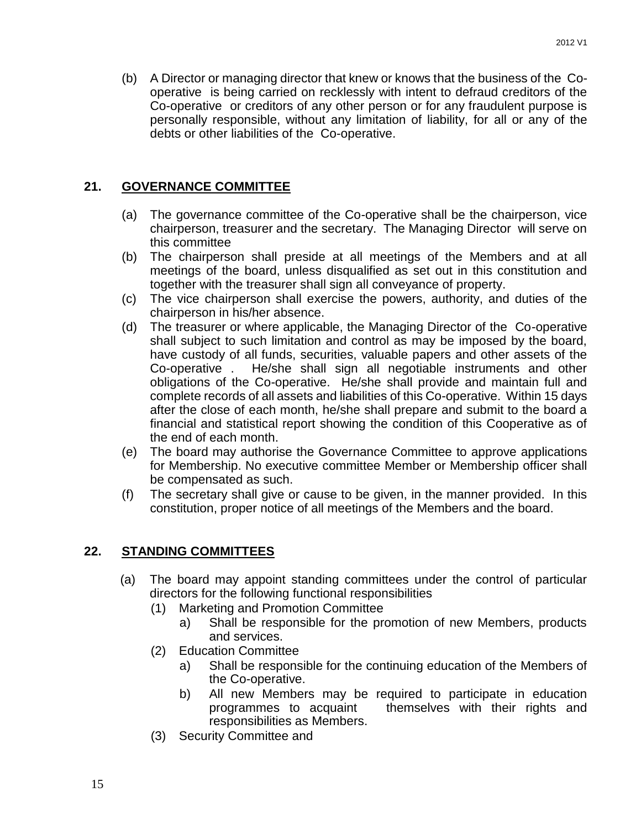(b) A Director or managing director that knew or knows that the business of the Cooperative is being carried on recklessly with intent to defraud creditors of the Co-operative or creditors of any other person or for any fraudulent purpose is personally responsible, without any limitation of liability, for all or any of the debts or other liabilities of the Co-operative.

### <span id="page-14-0"></span>**21. GOVERNANCE COMMITTEE**

- (a) The governance committee of the Co-operative shall be the chairperson, vice chairperson, treasurer and the secretary. The Managing Director will serve on this committee
- (b) The chairperson shall preside at all meetings of the Members and at all meetings of the board, unless disqualified as set out in this constitution and together with the treasurer shall sign all conveyance of property.
- (c) The vice chairperson shall exercise the powers, authority, and duties of the chairperson in his/her absence.
- (d) The treasurer or where applicable, the Managing Director of the Co-operative shall subject to such limitation and control as may be imposed by the board, have custody of all funds, securities, valuable papers and other assets of the Co-operative . He/she shall sign all negotiable instruments and other obligations of the Co-operative. He/she shall provide and maintain full and complete records of all assets and liabilities of this Co-operative. Within 15 days after the close of each month, he/she shall prepare and submit to the board a financial and statistical report showing the condition of this Cooperative as of the end of each month.
- (e) The board may authorise the Governance Committee to approve applications for Membership. No executive committee Member or Membership officer shall be compensated as such.
- (f) The secretary shall give or cause to be given, in the manner provided. In this constitution, proper notice of all meetings of the Members and the board.

### <span id="page-14-1"></span>**22. STANDING COMMITTEES**

- (a) The board may appoint standing committees under the control of particular directors for the following functional responsibilities
	- (1) Marketing and Promotion Committee
		- a) Shall be responsible for the promotion of new Members, products and services.
	- (2) Education Committee
		- a) Shall be responsible for the continuing education of the Members of the Co-operative.
		- b) All new Members may be required to participate in education programmes to acquaint themselves with their rights and responsibilities as Members.
	- (3) Security Committee and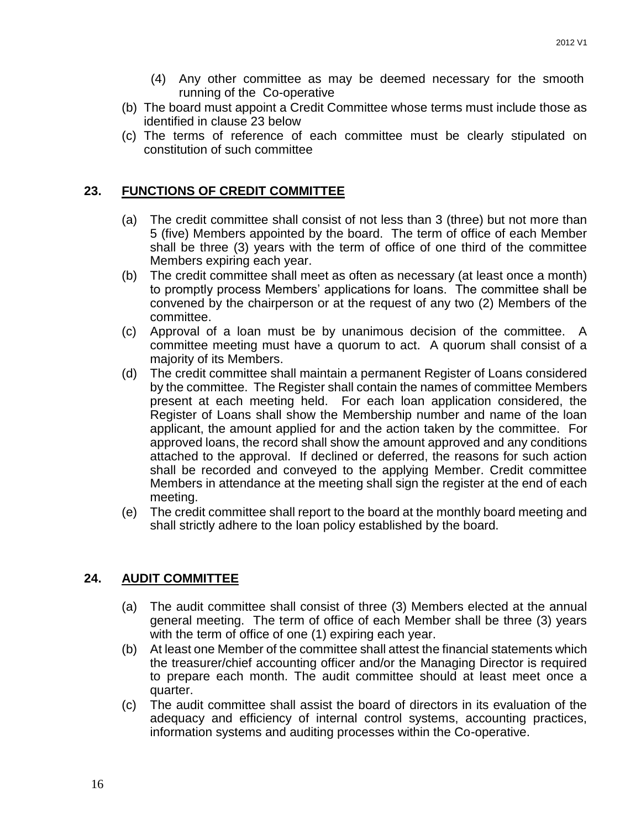- (4) Any other committee as may be deemed necessary for the smooth running of the Co-operative
- (b) The board must appoint a Credit Committee whose terms must include those as identified in clause 23 below
- (c) The terms of reference of each committee must be clearly stipulated on constitution of such committee

#### <span id="page-15-0"></span>**23. FUNCTIONS OF CREDIT COMMITTEE**

- (a) The credit committee shall consist of not less than 3 (three) but not more than 5 (five) Members appointed by the board. The term of office of each Member shall be three (3) years with the term of office of one third of the committee Members expiring each year.
- (b) The credit committee shall meet as often as necessary (at least once a month) to promptly process Members' applications for loans. The committee shall be convened by the chairperson or at the request of any two (2) Members of the committee.
- (c) Approval of a loan must be by unanimous decision of the committee. A committee meeting must have a quorum to act. A quorum shall consist of a majority of its Members.
- (d) The credit committee shall maintain a permanent Register of Loans considered by the committee. The Register shall contain the names of committee Members present at each meeting held. For each loan application considered, the Register of Loans shall show the Membership number and name of the loan applicant, the amount applied for and the action taken by the committee. For approved loans, the record shall show the amount approved and any conditions attached to the approval. If declined or deferred, the reasons for such action shall be recorded and conveyed to the applying Member. Credit committee Members in attendance at the meeting shall sign the register at the end of each meeting.
- (e) The credit committee shall report to the board at the monthly board meeting and shall strictly adhere to the loan policy established by the board.

#### <span id="page-15-1"></span>**24. AUDIT COMMITTEE**

- (a) The audit committee shall consist of three (3) Members elected at the annual general meeting. The term of office of each Member shall be three (3) years with the term of office of one (1) expiring each year.
- (b) At least one Member of the committee shall attest the financial statements which the treasurer/chief accounting officer and/or the Managing Director is required to prepare each month. The audit committee should at least meet once a quarter.
- (c) The audit committee shall assist the board of directors in its evaluation of the adequacy and efficiency of internal control systems, accounting practices, information systems and auditing processes within the Co-operative.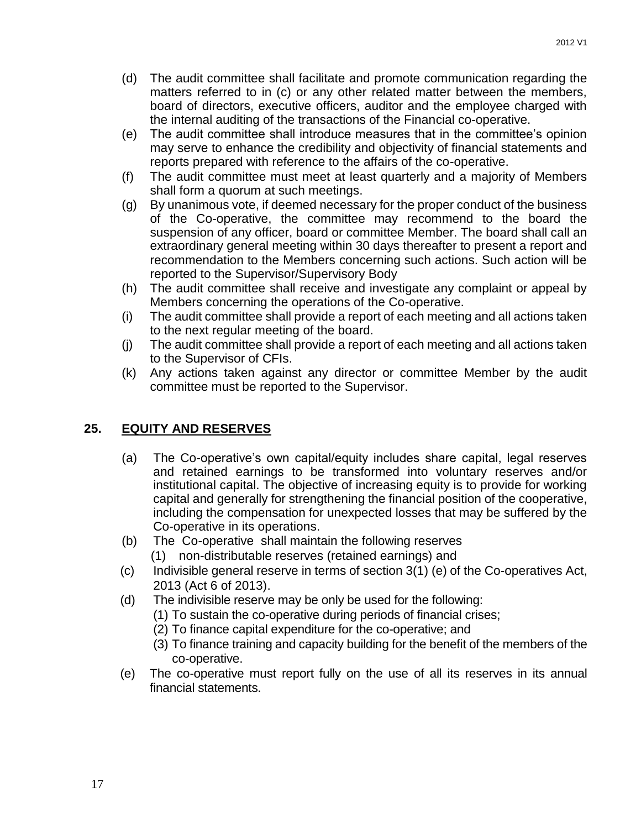- (d) The audit committee shall facilitate and promote communication regarding the matters referred to in (c) or any other related matter between the members, board of directors, executive officers, auditor and the employee charged with the internal auditing of the transactions of the Financial co-operative.
- (e) The audit committee shall introduce measures that in the committee's opinion may serve to enhance the credibility and objectivity of financial statements and reports prepared with reference to the affairs of the co-operative.
- (f) The audit committee must meet at least quarterly and a majority of Members shall form a quorum at such meetings.
- (g) By unanimous vote, if deemed necessary for the proper conduct of the business of the Co-operative, the committee may recommend to the board the suspension of any officer, board or committee Member. The board shall call an extraordinary general meeting within 30 days thereafter to present a report and recommendation to the Members concerning such actions. Such action will be reported to the Supervisor/Supervisory Body
- (h) The audit committee shall receive and investigate any complaint or appeal by Members concerning the operations of the Co-operative.
- (i) The audit committee shall provide a report of each meeting and all actions taken to the next regular meeting of the board.
- (j) The audit committee shall provide a report of each meeting and all actions taken to the Supervisor of CFIs.
- (k) Any actions taken against any director or committee Member by the audit committee must be reported to the Supervisor.

### <span id="page-16-0"></span>**25. EQUITY AND RESERVES**

- (a) The Co-operative's own capital/equity includes share capital, legal reserves and retained earnings to be transformed into voluntary reserves and/or institutional capital. The objective of increasing equity is to provide for working capital and generally for strengthening the financial position of the cooperative, including the compensation for unexpected losses that may be suffered by the Co-operative in its operations.
- (b) The Co-operative shall maintain the following reserves (1) non-distributable reserves (retained earnings) and
- (c) Indivisible general reserve in terms of section 3(1) (e) of the Co-operatives Act, 2013 (Act 6 of 2013).
- (d) The indivisible reserve may be only be used for the following:
	- (1) To sustain the co-operative during periods of financial crises;
	- (2) To finance capital expenditure for the co-operative; and
	- (3) To finance training and capacity building for the benefit of the members of the co-operative.
- (e) The co-operative must report fully on the use of all its reserves in its annual financial statements.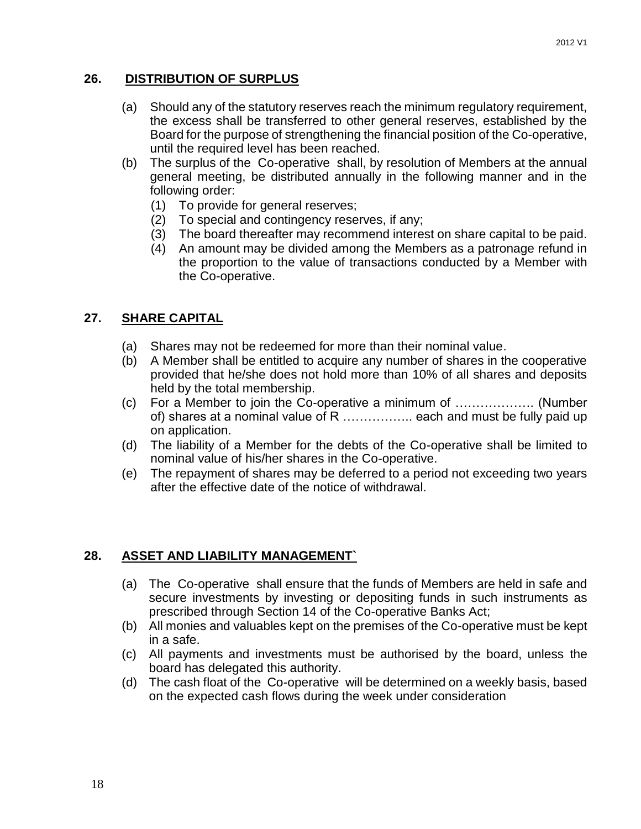#### <span id="page-17-0"></span>**26. DISTRIBUTION OF SURPLUS**

- (a) Should any of the statutory reserves reach the minimum regulatory requirement, the excess shall be transferred to other general reserves, established by the Board for the purpose of strengthening the financial position of the Co-operative, until the required level has been reached.
- (b) The surplus of the Co-operative shall, by resolution of Members at the annual general meeting, be distributed annually in the following manner and in the following order:
	- (1) To provide for general reserves;
	- (2) To special and contingency reserves, if any;
	- (3) The board thereafter may recommend interest on share capital to be paid.
	- (4) An amount may be divided among the Members as a patronage refund in the proportion to the value of transactions conducted by a Member with the Co-operative.

#### <span id="page-17-1"></span>**27. SHARE CAPITAL**

- (a) Shares may not be redeemed for more than their nominal value.
- (b) A Member shall be entitled to acquire any number of shares in the cooperative provided that he/she does not hold more than 10% of all shares and deposits held by the total membership.
- (c) For a Member to join the Co-operative a minimum of ………………. (Number of) shares at a nominal value of R .................. each and must be fully paid up on application.
- (d) The liability of a Member for the debts of the Co-operative shall be limited to nominal value of his/her shares in the Co-operative.
- (e) The repayment of shares may be deferred to a period not exceeding two years after the effective date of the notice of withdrawal.

#### <span id="page-17-2"></span>**28. ASSET AND LIABILITY MANAGEMENT`**

- (a) The Co-operative shall ensure that the funds of Members are held in safe and secure investments by investing or depositing funds in such instruments as prescribed through Section 14 of the Co-operative Banks Act;
- (b) All monies and valuables kept on the premises of the Co-operative must be kept in a safe.
- (c) All payments and investments must be authorised by the board, unless the board has delegated this authority.
- (d) The cash float of the Co-operative will be determined on a weekly basis, based on the expected cash flows during the week under consideration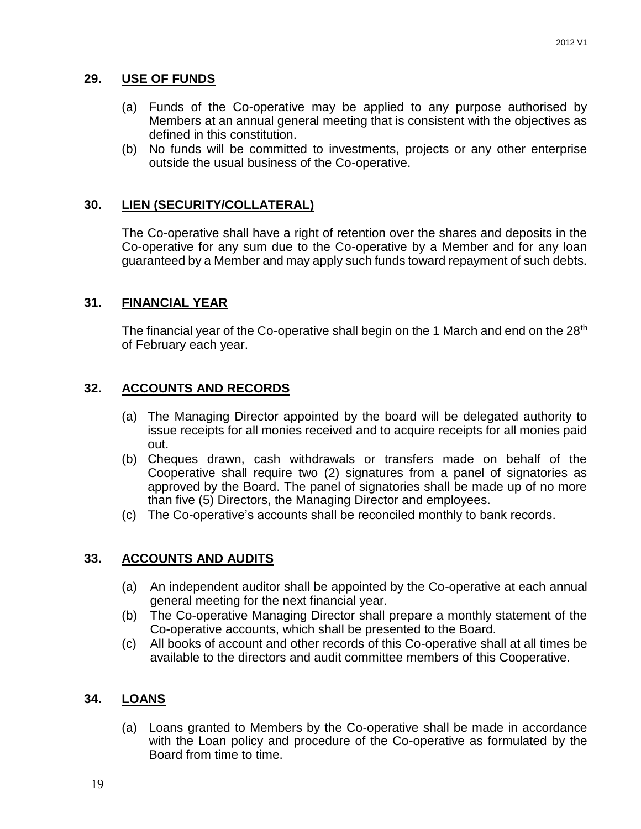### <span id="page-18-0"></span>**29. USE OF FUNDS**

- (a) Funds of the Co-operative may be applied to any purpose authorised by Members at an annual general meeting that is consistent with the objectives as defined in this constitution.
- (b) No funds will be committed to investments, projects or any other enterprise outside the usual business of the Co-operative.

### <span id="page-18-1"></span>**30. LIEN (SECURITY/COLLATERAL)**

The Co-operative shall have a right of retention over the shares and deposits in the Co-operative for any sum due to the Co-operative by a Member and for any loan guaranteed by a Member and may apply such funds toward repayment of such debts.

#### <span id="page-18-2"></span>**31. FINANCIAL YEAR**

The financial year of the Co-operative shall begin on the 1 March and end on the  $28<sup>th</sup>$ of February each year.

### <span id="page-18-3"></span>**32. ACCOUNTS AND RECORDS**

- (a) The Managing Director appointed by the board will be delegated authority to issue receipts for all monies received and to acquire receipts for all monies paid out.
- (b) Cheques drawn, cash withdrawals or transfers made on behalf of the Cooperative shall require two (2) signatures from a panel of signatories as approved by the Board. The panel of signatories shall be made up of no more than five (5) Directors, the Managing Director and employees.
- (c) The Co-operative's accounts shall be reconciled monthly to bank records.

#### <span id="page-18-4"></span>**33. ACCOUNTS AND AUDITS**

- (a) An independent auditor shall be appointed by the Co-operative at each annual general meeting for the next financial year.
- (b) The Co-operative Managing Director shall prepare a monthly statement of the Co-operative accounts, which shall be presented to the Board.
- (c) All books of account and other records of this Co-operative shall at all times be available to the directors and audit committee members of this Cooperative.

#### <span id="page-18-5"></span>**34. LOANS**

(a) Loans granted to Members by the Co-operative shall be made in accordance with the Loan policy and procedure of the Co-operative as formulated by the Board from time to time.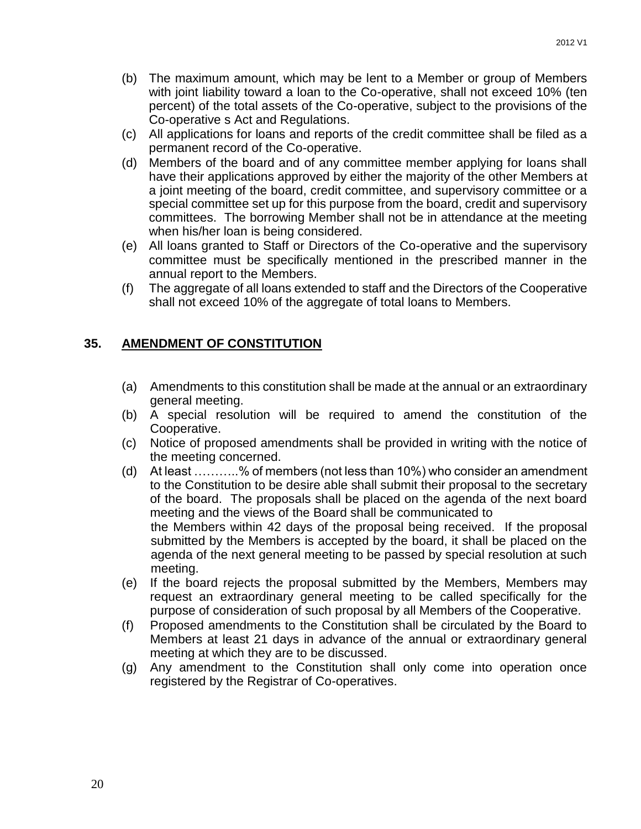- (b) The maximum amount, which may be lent to a Member or group of Members with joint liability toward a loan to the Co-operative, shall not exceed 10% (ten percent) of the total assets of the Co-operative, subject to the provisions of the Co-operative s Act and Regulations.
- (c) All applications for loans and reports of the credit committee shall be filed as a permanent record of the Co-operative.
- (d) Members of the board and of any committee member applying for loans shall have their applications approved by either the majority of the other Members at a joint meeting of the board, credit committee, and supervisory committee or a special committee set up for this purpose from the board, credit and supervisory committees. The borrowing Member shall not be in attendance at the meeting when his/her loan is being considered.
- (e) All loans granted to Staff or Directors of the Co-operative and the supervisory committee must be specifically mentioned in the prescribed manner in the annual report to the Members.
- (f) The aggregate of all loans extended to staff and the Directors of the Cooperative shall not exceed 10% of the aggregate of total loans to Members.

### <span id="page-19-0"></span>**35. AMENDMENT OF CONSTITUTION**

- (a) Amendments to this constitution shall be made at the annual or an extraordinary general meeting.
- (b) A special resolution will be required to amend the constitution of the Cooperative.
- (c) Notice of proposed amendments shall be provided in writing with the notice of the meeting concerned.
- (d) At least ………..% of members (not less than 10%) who consider an amendment to the Constitution to be desire able shall submit their proposal to the secretary of the board. The proposals shall be placed on the agenda of the next board meeting and the views of the Board shall be communicated to the Members within 42 days of the proposal being received. If the proposal submitted by the Members is accepted by the board, it shall be placed on the agenda of the next general meeting to be passed by special resolution at such meeting.
- (e) If the board rejects the proposal submitted by the Members, Members may request an extraordinary general meeting to be called specifically for the purpose of consideration of such proposal by all Members of the Cooperative.
- (f) Proposed amendments to the Constitution shall be circulated by the Board to Members at least 21 days in advance of the annual or extraordinary general meeting at which they are to be discussed.
- (g) Any amendment to the Constitution shall only come into operation once registered by the Registrar of Co-operatives.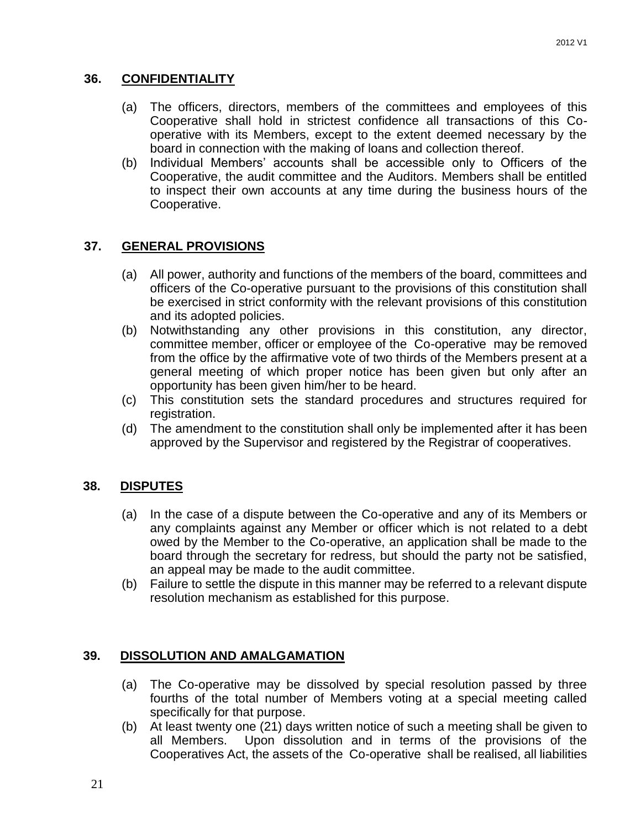### <span id="page-20-0"></span>**36. CONFIDENTIALITY**

- (a) The officers, directors, members of the committees and employees of this Cooperative shall hold in strictest confidence all transactions of this Cooperative with its Members, except to the extent deemed necessary by the board in connection with the making of loans and collection thereof.
- (b) Individual Members' accounts shall be accessible only to Officers of the Cooperative, the audit committee and the Auditors. Members shall be entitled to inspect their own accounts at any time during the business hours of the Cooperative.

### <span id="page-20-1"></span>**37. GENERAL PROVISIONS**

- (a) All power, authority and functions of the members of the board, committees and officers of the Co-operative pursuant to the provisions of this constitution shall be exercised in strict conformity with the relevant provisions of this constitution and its adopted policies.
- (b) Notwithstanding any other provisions in this constitution, any director, committee member, officer or employee of the Co-operative may be removed from the office by the affirmative vote of two thirds of the Members present at a general meeting of which proper notice has been given but only after an opportunity has been given him/her to be heard.
- (c) This constitution sets the standard procedures and structures required for registration.
- (d) The amendment to the constitution shall only be implemented after it has been approved by the Supervisor and registered by the Registrar of cooperatives.

#### <span id="page-20-2"></span>**38. DISPUTES**

- (a) In the case of a dispute between the Co-operative and any of its Members or any complaints against any Member or officer which is not related to a debt owed by the Member to the Co-operative, an application shall be made to the board through the secretary for redress, but should the party not be satisfied, an appeal may be made to the audit committee.
- (b) Failure to settle the dispute in this manner may be referred to a relevant dispute resolution mechanism as established for this purpose.

#### <span id="page-20-3"></span>**39. DISSOLUTION AND AMALGAMATION**

- (a) The Co-operative may be dissolved by special resolution passed by three fourths of the total number of Members voting at a special meeting called specifically for that purpose.
- (b) At least twenty one (21) days written notice of such a meeting shall be given to all Members. Upon dissolution and in terms of the provisions of the Cooperatives Act, the assets of the Co-operative shall be realised, all liabilities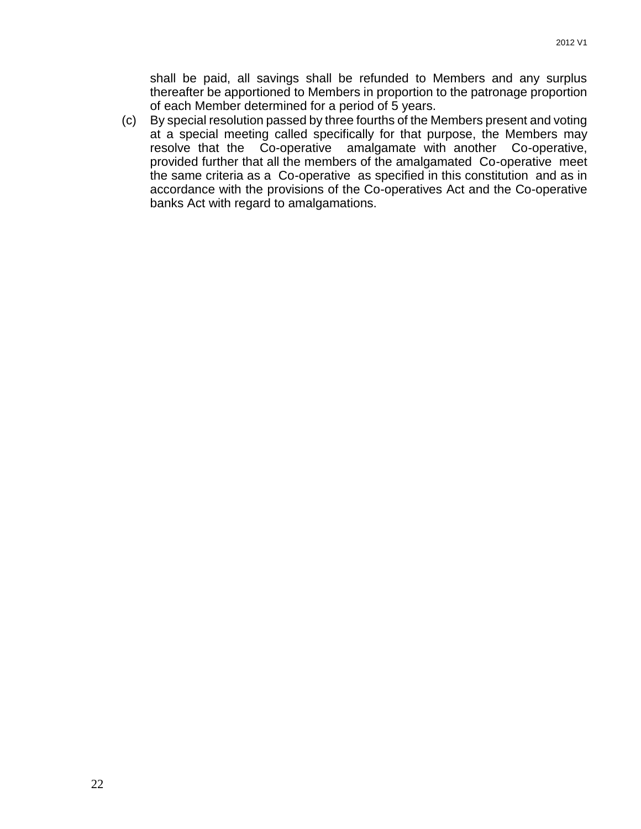shall be paid, all savings shall be refunded to Members and any surplus thereafter be apportioned to Members in proportion to the patronage proportion of each Member determined for a period of 5 years.

(c) By special resolution passed by three fourths of the Members present and voting at a special meeting called specifically for that purpose, the Members may resolve that the Co-operative amalgamate with another Co-operative, provided further that all the members of the amalgamated Co-operative meet the same criteria as a Co-operative as specified in this constitution and as in accordance with the provisions of the Co-operatives Act and the Co-operative banks Act with regard to amalgamations.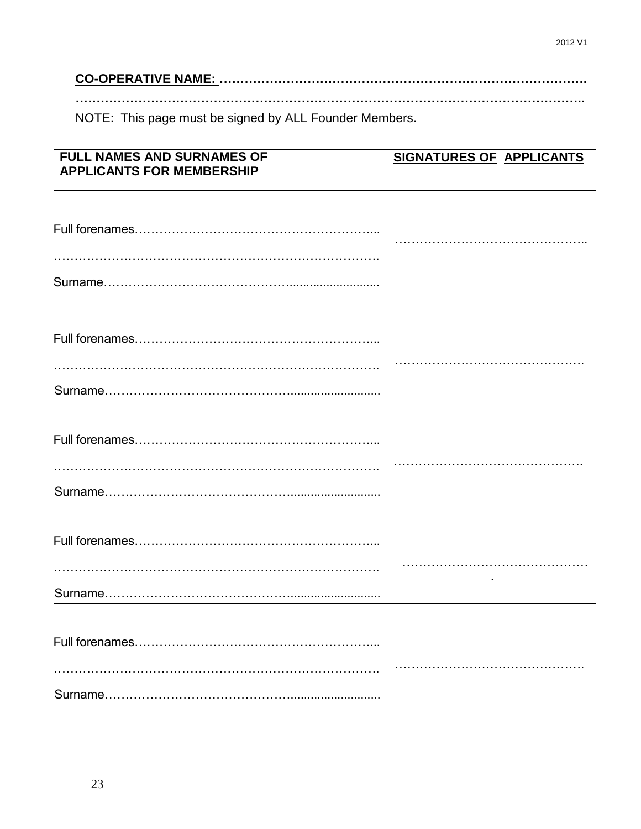# 

NOTE: This page must be signed by ALL Founder Members.

| <b>FULL NAMES AND SURNAMES OF</b> | <b>SIGNATURES OF APPLICANTS</b> |  |
|-----------------------------------|---------------------------------|--|
| <b>APPLICANTS FOR MEMBERSHIP</b>  |                                 |  |
|                                   |                                 |  |
|                                   |                                 |  |
|                                   |                                 |  |
|                                   |                                 |  |
|                                   |                                 |  |
|                                   |                                 |  |
|                                   |                                 |  |
|                                   |                                 |  |
|                                   |                                 |  |
|                                   |                                 |  |
|                                   |                                 |  |
|                                   |                                 |  |
|                                   |                                 |  |
|                                   |                                 |  |
|                                   |                                 |  |
|                                   |                                 |  |
|                                   |                                 |  |
|                                   |                                 |  |
|                                   |                                 |  |
|                                   |                                 |  |
|                                   |                                 |  |
|                                   |                                 |  |
|                                   |                                 |  |
|                                   |                                 |  |
|                                   |                                 |  |
|                                   |                                 |  |
|                                   |                                 |  |
|                                   |                                 |  |
|                                   |                                 |  |
|                                   |                                 |  |
|                                   |                                 |  |
|                                   |                                 |  |
|                                   |                                 |  |
|                                   |                                 |  |